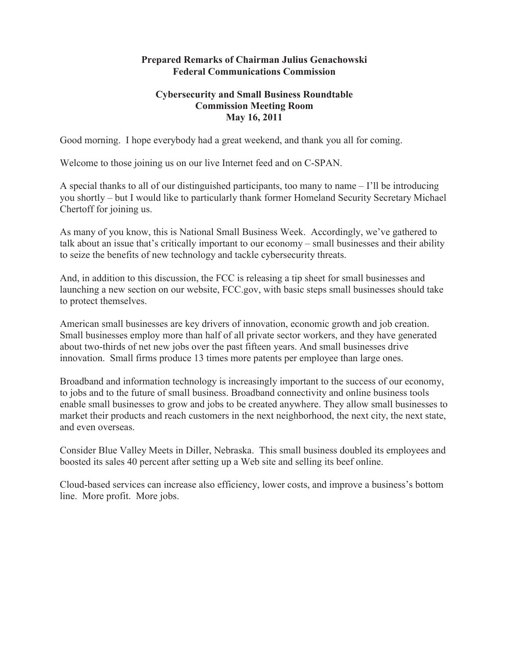## **Prepared Remarks of Chairman Julius Genachowski Federal Communications Commission**

## **Cybersecurity and Small Business Roundtable Commission Meeting Room May 16, 2011**

Good morning. I hope everybody had a great weekend, and thank you all for coming.

Welcome to those joining us on our live Internet feed and on C-SPAN.

A special thanks to all of our distinguished participants, too many to name – I'll be introducing you shortly – but I would like to particularly thank former Homeland Security Secretary Michael Chertoff for joining us.

As many of you know, this is National Small Business Week. Accordingly, we've gathered to talk about an issue that's critically important to our economy – small businesses and their ability to seize the benefits of new technology and tackle cybersecurity threats.

And, in addition to this discussion, the FCC is releasing a tip sheet for small businesses and launching a new section on our website, FCC.gov, with basic steps small businesses should take to protect themselves.

American small businesses are key drivers of innovation, economic growth and job creation. Small businesses employ more than half of all private sector workers, and they have generated about two-thirds of net new jobs over the past fifteen years. And small businesses drive innovation. Small firms produce 13 times more patents per employee than large ones.

Broadband and information technology is increasingly important to the success of our economy, to jobs and to the future of small business. Broadband connectivity and online business tools enable small businesses to grow and jobs to be created anywhere. They allow small businesses to market their products and reach customers in the next neighborhood, the next city, the next state, and even overseas.

Consider Blue Valley Meets in Diller, Nebraska. This small business doubled its employees and boosted its sales 40 percent after setting up a Web site and selling its beef online.

Cloud-based services can increase also efficiency, lower costs, and improve a business's bottom line. More profit. More jobs.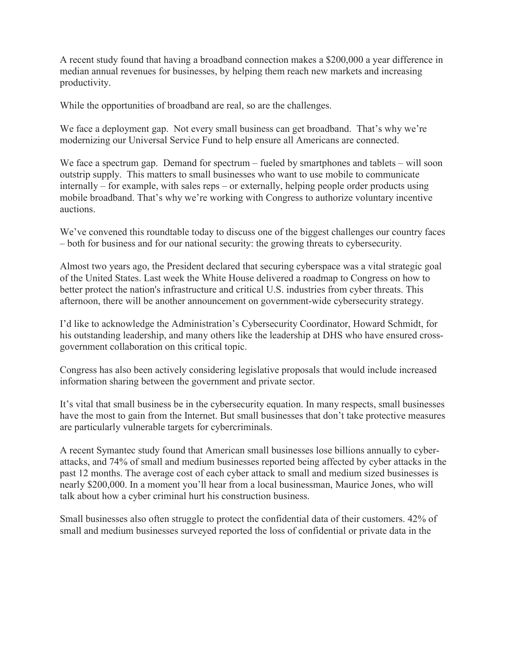A recent study found that having a broadband connection makes a \$200,000 a year difference in median annual revenues for businesses, by helping them reach new markets and increasing productivity.

While the opportunities of broadband are real, so are the challenges.

We face a deployment gap. Not every small business can get broadband. That's why we're modernizing our Universal Service Fund to help ensure all Americans are connected.

We face a spectrum gap. Demand for spectrum – fueled by smartphones and tablets – will soon outstrip supply. This matters to small businesses who want to use mobile to communicate internally – for example, with sales reps – or externally, helping people order products using mobile broadband. That's why we're working with Congress to authorize voluntary incentive auctions.

We've convened this roundtable today to discuss one of the biggest challenges our country faces – both for business and for our national security: the growing threats to cybersecurity.

Almost two years ago, the President declared that securing cyberspace was a vital strategic goal of the United States. Last week the White House delivered a roadmap to Congress on how to better protect the nation's infrastructure and critical U.S. industries from cyber threats. This afternoon, there will be another announcement on government-wide cybersecurity strategy.

I'd like to acknowledge the Administration's Cybersecurity Coordinator, Howard Schmidt, for his outstanding leadership, and many others like the leadership at DHS who have ensured crossgovernment collaboration on this critical topic.

Congress has also been actively considering legislative proposals that would include increased information sharing between the government and private sector.

It's vital that small business be in the cybersecurity equation. In many respects, small businesses have the most to gain from the Internet. But small businesses that don't take protective measures are particularly vulnerable targets for cybercriminals.

A recent Symantec study found that American small businesses lose billions annually to cyberattacks, and 74% of small and medium businesses reported being affected by cyber attacks in the past 12 months. The average cost of each cyber attack to small and medium sized businesses is nearly \$200,000. In a moment you'll hear from a local businessman, Maurice Jones, who will talk about how a cyber criminal hurt his construction business.

Small businesses also often struggle to protect the confidential data of their customers. 42% of small and medium businesses surveyed reported the loss of confidential or private data in the